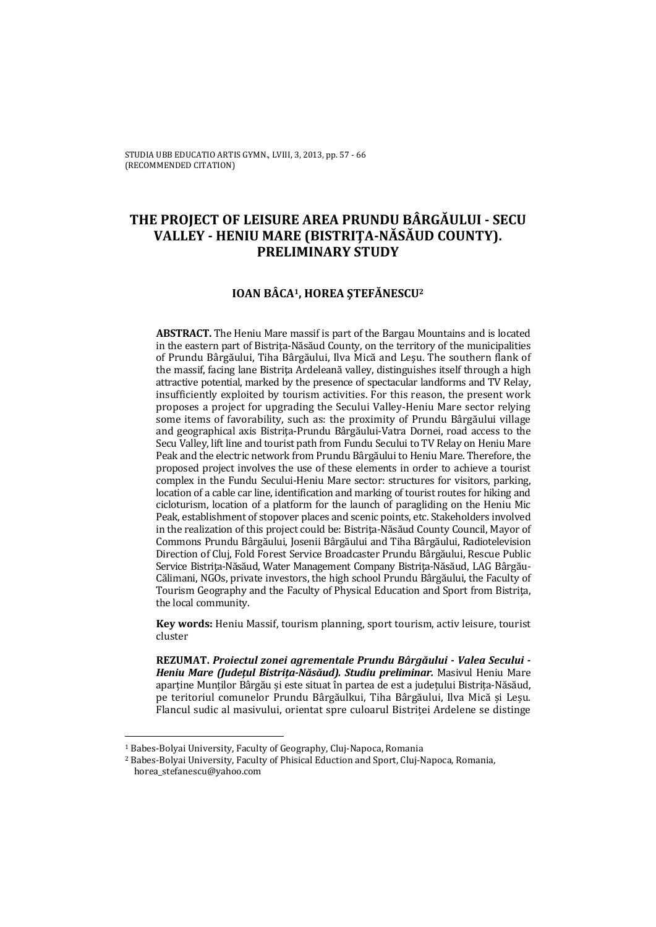# **THE PROJECT OF LEISURE AREA PRUNDU BÂRGĂULUI - SECU VALLEY - HENIU MARE (BISTRIŢA-NĂSĂUD COUNTY). PRELIMINARY STUDY**

### **IOAN BÂCA1, HOREA ŞTEFĂNESCU2**

**ABSTRACT.** The Heniu Mare massif is part of the Bargau Mountains and is located in the eastern part of Bistrita-Năsăud County, on the territory of the municipalities of Prundu Bârgăului, Tiha Bârgăului, Ilva Mică and Leşu. The southern flank of the massif, facing lane Bistrita Ardeleană valley, distinguishes itself through a high attractive potential, marked by the presence of spectacular landforms and TV Relay, insufficiently exploited by tourism activities. For this reason, the present work proposes a project for upgrading the Secului Valley-Heniu Mare sector relying some items of favorability, such as: the proximity of Prundu Bârgăului village and geographical axis Bistriţa-Prundu Bârgăului-Vatra Dornei, road access to the Secu Valley, lift line and tourist path from Fundu Secului to TV Relay on Heniu Mare Peak and the electric network from Prundu Bârgăului to Heniu Mare. Therefore, the proposed project involves the use of these elements in order to achieve a tourist complex in the Fundu Secului-Heniu Mare sector: structures for visitors, parking, location of a cable car line, identification and marking of tourist routes for hiking and cicloturism, location of a platform for the launch of paragliding on the Heniu Mic Peak, establishment of stopover places and scenic points, etc. Stakeholders involved in the realization of this project could be: Bistriţa-Năsăud County Council, Mayor of Commons Prundu Bârgăului, Josenii Bârgăului and Tiha Bârgăului, Radiotelevision Direction of Cluj, Fold Forest Service Broadcaster Prundu Bârgăului, Rescue Public Service Bistriţa-Năsăud, Water Management Company Bistriţa-Năsăud, LAG Bârgău-Călimani, NGOs, private investors, the high school Prundu Bârgăului, the Faculty of Tourism Geography and the Faculty of Physical Education and Sport from Bistriţa, the local community.

**Key words:** Heniu Massif, tourism planning, sport tourism, activ leisure, tourist cluster

**REZUMAT.** *Proiectul zonei agrementale Prundu Bârgăului - Valea Secului - Heniu Mare (Judeţul Bistriţa-Năsăud). Studiu preliminar.* Masivul Heniu Mare aparține Munților Bârgău și este situat în partea de est a județului Bistrița-Năsăud, pe teritoriul comunelor Prundu Bârgăulkui, Tiha Bârgăului, Ilva Mică și Leșu. Flancul sudic al masivului, orientat spre culoarul Bistriței Ardelene se distinge

 $\overline{a}$ 

<sup>1</sup> Babes-Bolyai University, Faculty of Geography, Cluj-Napoca, Romania

<sup>2</sup> Babes-Bolyai University, Faculty of Phisical Eduction and Sport, Cluj-Napoca, Romania, horea\_stefanescu@yahoo.com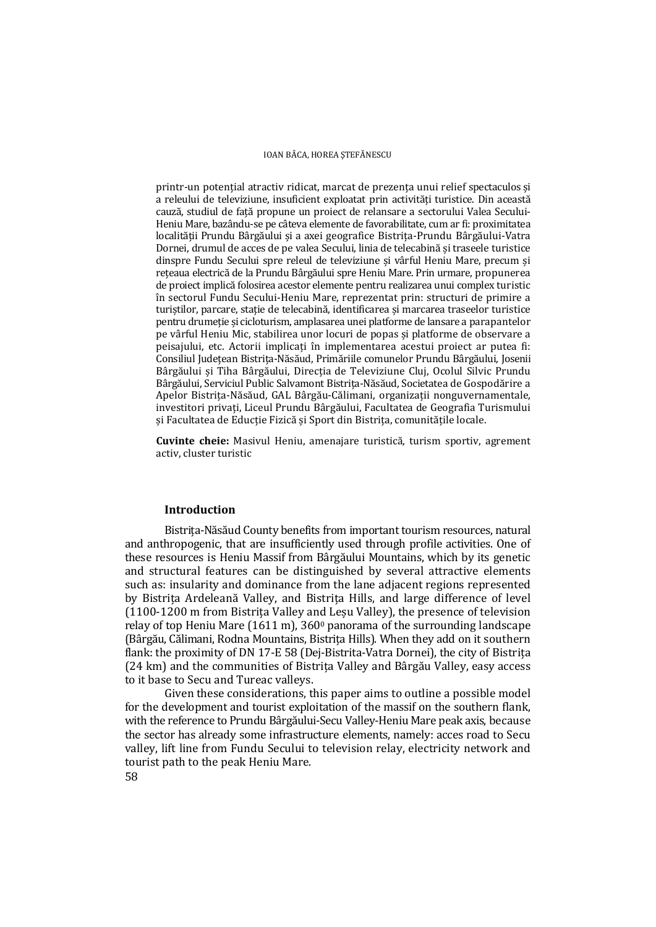printr-un potențial atractiv ridicat, marcat de prezența unui relief spectaculos și a releului de televiziune, insuficient exploatat prin activități turistice. Din această cauză, studiul de față propune un proiect de relansare a sectorului Valea Secului-Heniu Mare, bazându-se pe câteva elemente de favorabilitate, cum ar fi: proximitatea localității Prundu Bârgăului și a axei geografice Bistrița-Prundu Bârgăului-Vatra Dornei, drumul de acces de pe valea Secului, linia de telecabină și traseele turistice dinspre Fundu Secului spre releul de televiziune și vârful Heniu Mare, precum și rețeaua electrică de la Prundu Bârgăului spre Heniu Mare. Prin urmare, propunerea de proiect implică folosirea acestor elemente pentru realizarea unui complex turistic în sectorul Fundu Secului-Heniu Mare, reprezentat prin: structuri de primire a turiștilor, parcare, stație de telecabină, identificarea și marcarea traseelor turiștice pentru drumeție și cicloturism, amplasarea unei platforme de lansare a parapantelor pe vârful Heniu Mic, stabilirea unor locuri de popas și platforme de observare a peisajului, etc. Actorii implicați în implementarea acestui proiect ar putea fi: Consiliul Județean Bistrița-Năsăud, Primăriile comunelor Prundu Bârgăului, Josenii Bârgăului și Tiha Bârgăului, Direcția de Televiziune Cluj, Ocolul Silvic Prundu Bârgăului, Serviciul Public Salvamont Bistrița-Năsăud, Societatea de Gospodărire a Apelor Bistrița-Năsăud, GAL Bârgău-Călimani, organizații nonguvernamentale, investitori privați, Liceul Prundu Bârgăului, Facultatea de Geografia Turismului și Facultatea de Educție Fizică și Sport din Bistrița, comunitățile locale.

**Cuvinte cheie:** Masivul Heniu, amenajare turistică, turism sportiv, agrement activ, cluster turistic

### **Introduction**

Bistrița-Năsăud County benefits from important tourism resources, natural and anthropogenic, that are insufficiently used through profile activities. One of these resources is Heniu Massif from Bârgăului Mountains, which by its genetic and structural features can be distinguished by several attractive elements such as: insularity and dominance from the lane adjacent regions represented by Bistrița Ardeleană Valley, and Bistrița Hills, and large difference of level (1100-1200 m from Bistrița Valley and Leșu Valley), the presence of television relay of top Heniu Mare  $(1611 \text{ m})$ ,  $360^\circ$  panorama of the surrounding landscape (Bârgău, Călimani, Rodna Mountains, Bistrița Hills). When they add on it southern flank: the proximity of DN 17-E 58 (Dej-Bistrita-Vatra Dornei), the city of Bistrița (24 km) and the communities of Bistrița Valley and Bârgău Valley, easy access to it base to Secu and Tureac valleys.

Given these considerations, this paper aims to outline a possible model for the development and tourist exploitation of the massif on the southern flank, with the reference to Prundu Bârgăului-Secu Valley-Heniu Mare peak axis, because the sector has already some infrastructure elements, namely: acces road to Secu valley, lift line from Fundu Secului to television relay, electricity network and tourist path to the peak Heniu Mare.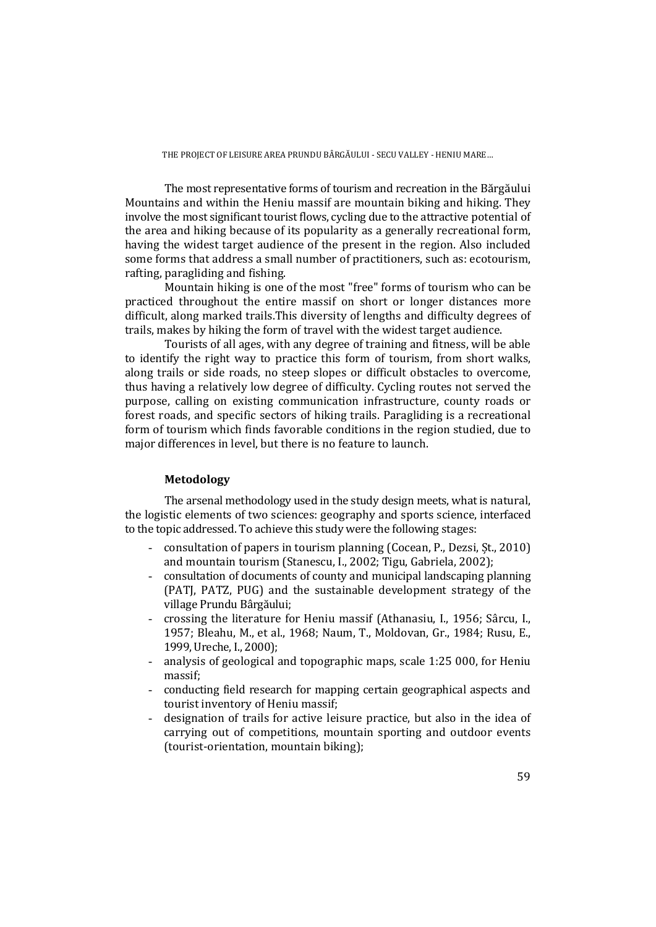The most representative forms of tourism and recreation in the Bărgăului Mountains and within the Heniu massif are mountain biking and hiking. They involve the most significant tourist flows, cycling due to the attractive potential of the area and hiking because of its popularity as a generally recreational form, having the widest target audience of the present in the region. Also included some forms that address a small number of practitioners, such as: ecotourism, rafting, paragliding and fishing.

Mountain hiking is one of the most "free" forms of tourism who can be practiced throughout the entire massif on short or longer distances more difficult, along marked trails.This diversity of lengths and difficulty degrees of trails, makes by hiking the form of travel with the widest target audience.

Tourists of all ages, with any degree of training and fitness, will be able to identify the right way to practice this form of tourism, from short walks, along trails or side roads, no steep slopes or difficult obstacles to overcome, thus having a relatively low degree of difficulty. Cycling routes not served the purpose, calling on existing communication infrastructure, county roads or forest roads, and specific sectors of hiking trails. Paragliding is a recreational form of tourism which finds favorable conditions in the region studied, due to major differences in level, but there is no feature to launch.

## **Metodology**

The arsenal methodology used in the study design meets, what is natural, the logistic elements of two sciences: geography and sports science, interfaced to the topic addressed. To achieve this study were the following stages:

- consultation of papers in tourism planning (Cocean, P., Dezsi, Șt., 2010) and mountain tourism (Stanescu, I., 2002; Tigu, Gabriela, 2002);
- consultation of documents of county and municipal landscaping planning (PATJ, PATZ, PUG) and the sustainable development strategy of the village Prundu Bârgăului;
- crossing the literature for Heniu massif (Athanasiu, I., 1956; Sârcu, I., 1957; Bleahu, M., et al., 1968; Naum, T., Moldovan, Gr., 1984; Rusu, E., 1999, Ureche, I., 2000);
- analysis of geological and topographic maps, scale 1:25 000, for Heniu massif;
- conducting field research for mapping certain geographical aspects and tourist inventory of Heniu massif;
- designation of trails for active leisure practice, but also in the idea of carrying out of competitions, mountain sporting and outdoor events (tourist-orientation, mountain biking);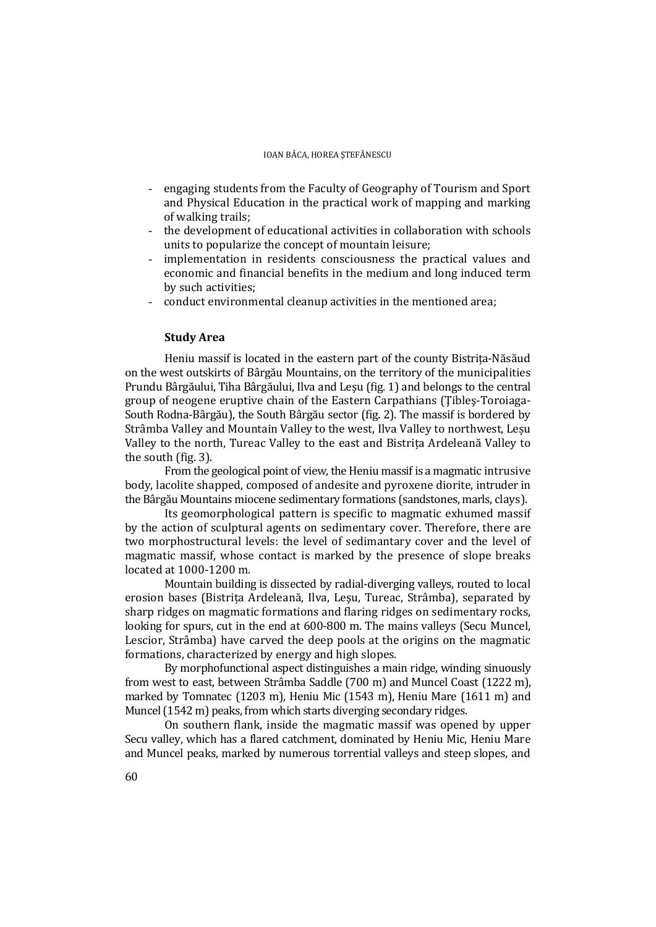- engaging students from the Faculty of Geography of Tourism and Sport and Physical Education in the practical work of mapping and marking of walking trails;
- the development of educational activities in collaboration with schools units to popularize the concept of mountain leisure;
- implementation in residents consciousness the practical values and economic and financial benefits in the medium and long induced term by such activities;
- conduct environmental cleanup activities in the mentioned area;

### **Study Area**

Heniu massif is located in the eastern part of the county Bistrița-Năsăud on the west outskirts of Bârgău Mountains, on the territory of the municipalities Prundu Bârgăului, Tiha Bârgăului, Ilva and Leşu (fig. 1) and belongs to the central group of neogene eruptive chain of the Eastern Carpathians (Ţibleş-Toroiaga-South Rodna-Bârgău), the South Bârgău sector (fig. 2). The massif is bordered by Strâmba Valley and Mountain Valley to the west, Ilva Valley to northwest, Leșu Valley to the north, Tureac Valley to the east and Bistrița Ardeleană Valley to the south (fig. 3).

From the geological point of view, the Heniu massif is a magmatic intrusive body, lacolite shapped, composed of andesite and pyroxene diorite, intruder in the Bârgău Mountains miocene sedimentary formations (sandstones, marls, clays).

Its geomorphological pattern is specific to magmatic exhumed massif by the action of sculptural agents on sedimentary cover. Therefore, there are two morphostructural levels: the level of sedimantary cover and the level of magmatic massif, whose contact is marked by the presence of slope breaks located at 1000-1200 m.

Mountain building is dissected by radial-diverging valleys, routed to local erosion bases (Bistrița Ardeleană, Ilva, Leşu, Tureac, Strâmba), separated by sharp ridges on magmatic formations and flaring ridges on sedimentary rocks, looking for spurs, cut in the end at 600-800 m. The mains valleys (Secu Muncel, Lescior, Strâmba) have carved the deep pools at the origins on the magmatic formations, characterized by energy and high slopes.

By morphofunctional aspect distinguishes a main ridge, winding sinuously from west to east, between Strâmba Saddle (700 m) and Muncel Coast (1222 m), marked by Tomnatec (1203 m), Heniu Mic (1543 m), Heniu Mare (1611 m) and Muncel (1542 m) peaks, from which starts diverging secondary ridges.

On southern flank, inside the magmatic massif was opened by upper Secu valley, which has a flared catchment, dominated by Heniu Mic, Heniu Mare and Muncel peaks, marked by numerous torrential valleys and steep slopes, and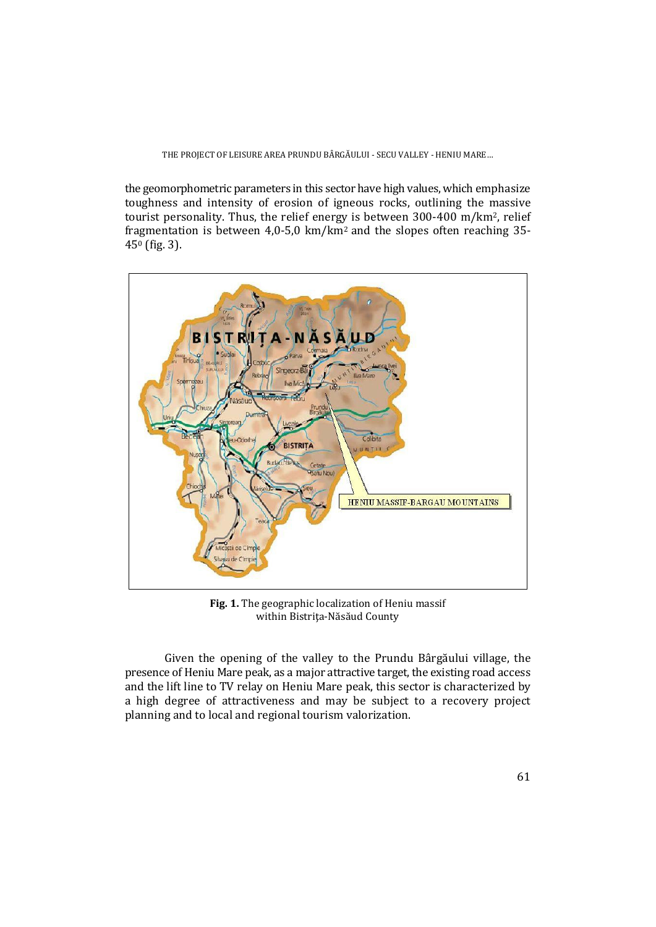#### THE PROJECT OF LEISURE AREA PRUNDU BÂRGĂULUI - SECU VALLEY - HENIU MARE…

the geomorphometric parameters in this sector have high values, which emphasize toughness and intensity of erosion of igneous rocks, outlining the massive tourist personality. Thus, the relief energy is between 300-400 m/km2, relief fragmentation is between 4,0-5,0 km/km2 and the slopes often reaching 35- 450 (fig. 3).



**Fig. 1.** The geographic localization of Heniu massif within Bistriţa-Năsăud County

 Given the opening of the valley to the Prundu Bârgăului village, the presence of Heniu Mare peak, as a major attractive target, the existing road access and the lift line to TV relay on Heniu Mare peak, this sector is characterized by a high degree of attractiveness and may be subject to a recovery project planning and to local and regional tourism valorization.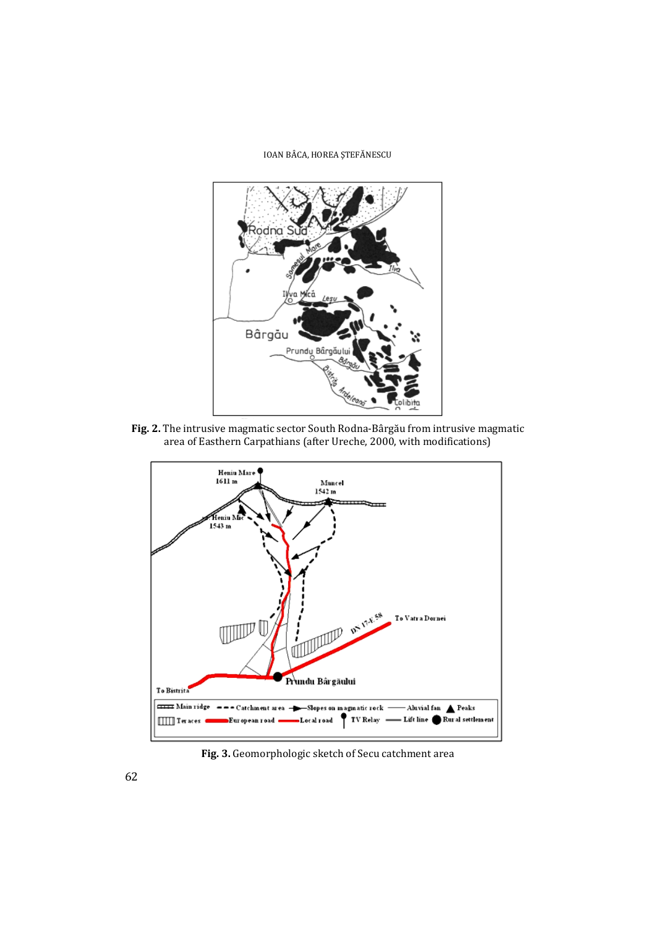#### IOAN BÂCA, HOREA ŞTEFĂNESCU



**Fig. 2.** The intrusive magmatic sector South Rodna-Bârgău from intrusive magmatic area of Easthern Carpathians (after Ureche, 2000, with modifications)



**Fig. 3.** Geomorphologic sketch of Secu catchment area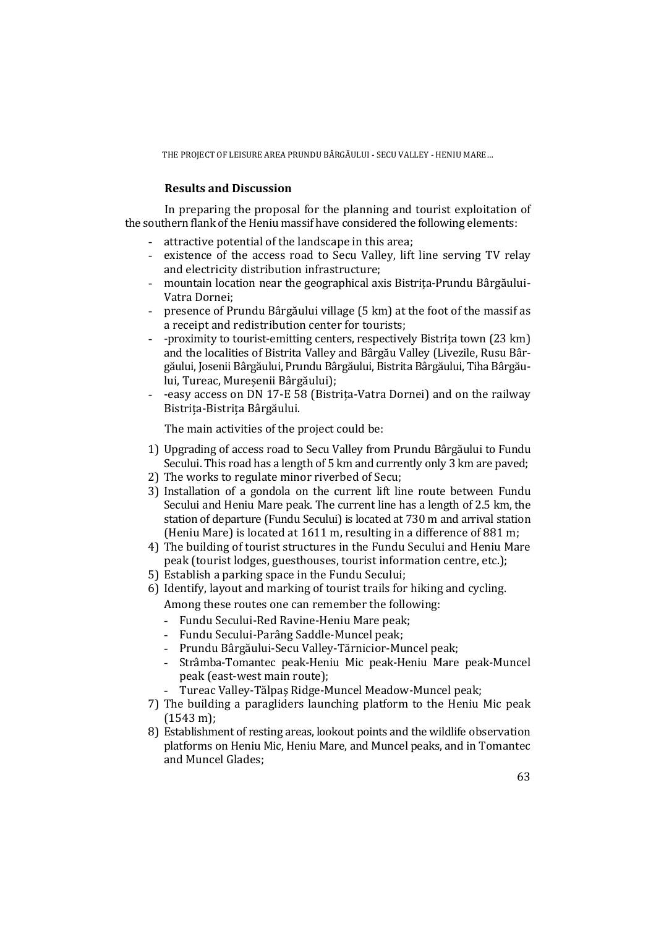THE PROJECT OF LEISURE AREA PRUNDU BÂRGĂULUI - SECU VALLEY - HENIU MARE…

## **Results and Discussion**

In preparing the proposal for the planning and tourist exploitation of the southern flank of the Heniu massif have considered the following elements:

- attractive potential of the landscape in this area;
- existence of the access road to Secu Valley, lift line serving TV relay and electricity distribution infrastructure;
- mountain location near the geographical axis Bistrița-Prundu Bârgăului-Vatra Dornei;
- presence of Prundu Bârgăului village (5 km) at the foot of the massif as a receipt and redistribution center for tourists;
- -proximity to tourist-emitting centers, respectively Bistrița town (23 km) and the localities of Bistrita Valley and Bârgău Valley (Livezile, Rusu Bârgăului, Josenii Bârgăului, Prundu Bârgăului, Bistrita Bârgăului, Tiha Bârgăului, Tureac, Mureșenii Bârgăului);
- -easy access on DN 17-E 58 (Bistrița-Vatra Dornei) and on the railway Bistrița-Bistrița Bârgăului.

The main activities of the project could be:

- 1) Upgrading of access road to Secu Valley from Prundu Bârgăului to Fundu Secului. This road has a length of 5 km and currently only 3 km are paved;
- 2) The works to regulate minor riverbed of Secu;
- 3) Installation of a gondola on the current lift line route between Fundu Secului and Heniu Mare peak. The current line has a length of 2.5 km, the station of departure (Fundu Secului) is located at 730 m and arrival station (Heniu Mare) is located at 1611 m, resulting in a difference of 881 m;
- 4) The building of tourist structures in the Fundu Secului and Heniu Mare peak (tourist lodges, guesthouses, tourist information centre, etc.);
- 5) Establish a parking space in the Fundu Secului;
- 6) Identify, layout and marking of tourist trails for hiking and cycling.

Among these routes one can remember the following:

- Fundu Secului-Red Ravine-Heniu Mare peak;
- Fundu Secului-Parâng Saddle-Muncel peak;
- Prundu Bârgăului-Secu Valley-Tărnicior-Muncel peak;
- Strâmba-Tomantec peak-Heniu Mic peak-Heniu Mare peak-Muncel peak (east-west main route);
- Tureac Valley-Tălpaş Ridge-Muncel Meadow-Muncel peak;
- 7) The building a paragliders launching platform to the Heniu Mic peak (1543 m);
- 8) Establishment of resting areas, lookout points and the wildlife observation platforms on Heniu Mic, Heniu Mare, and Muncel peaks, and in Tomantec and Muncel Glades;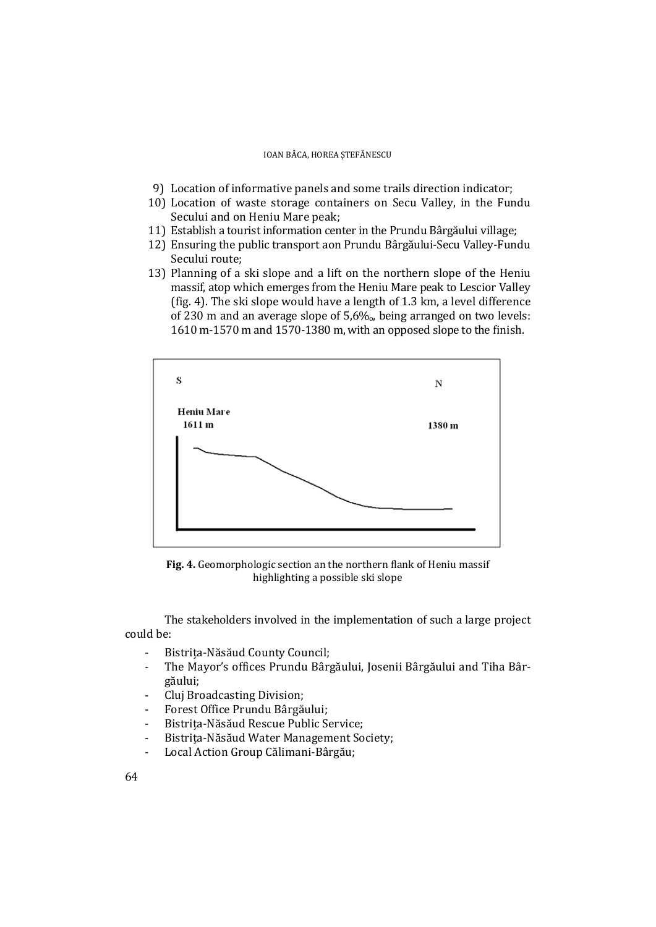- 9) Location of informative panels and some trails direction indicator;
- 10) Location of waste storage containers on Secu Valley, in the Fundu Secului and on Heniu Mare peak;
- 11) Establish a tourist information center in the Prundu Bârgăului village;
- 12) Ensuring the public transport aon Prundu Bârgăului-Secu Valley-Fundu Secului route;
- 13) Planning of a ski slope and a lift on the northern slope of the Heniu massif, atop which emerges from the Heniu Mare peak to Lescior Valley (fig. 4). The ski slope would have a length of 1.3 km, a level difference of 230 m and an average slope of  $5.6\%$ , being arranged on two levels: 1610 m-1570 m and 1570-1380 m, with an opposed slope to the finish.



**Fig. 4.** Geomorphologic section an the northern flank of Heniu massif highlighting a possible ski slope

The stakeholders involved in the implementation of such a large project could be:

- Bistrița-Năsăud County Council;
- The Mayor's offices Prundu Bârgăului, Josenii Bârgăului and Tiha Bârgăului;
- Cluj Broadcasting Division;
- Forest Office Prundu Bârgăului;
- Bistrița-Năsăud Rescue Public Service;
- Bistrita-Năsăud Water Management Society;
- Local Action Group Călimani-Bârgău;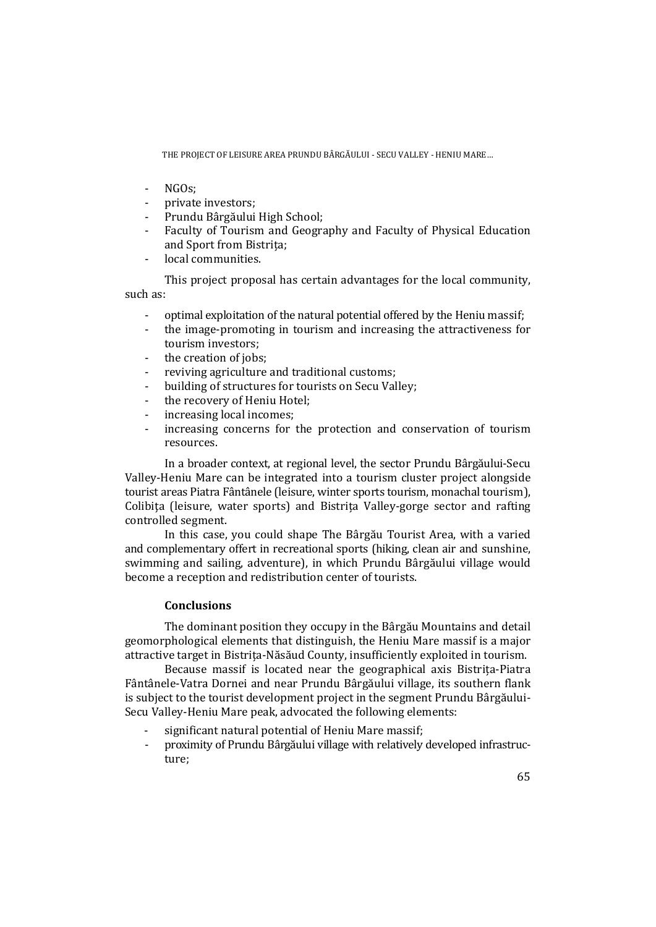THE PROJECT OF LEISURE AREA PRUNDU BÂRGĂULUI - SECU VALLEY - HENIU MARE…

- NGOs;
- private investors;
- Prundu Bârgăului High School;
- Faculty of Tourism and Geography and Faculty of Physical Education and Sport from Bistrița;
- local communities.

 This project proposal has certain advantages for the local community, such as:

- optimal exploitation of the natural potential offered by the Heniu massif;

- the image-promoting in tourism and increasing the attractiveness for tourism investors;
- the creation of jobs:
- reviving agriculture and traditional customs;
- building of structures for tourists on Secu Valley;
- the recovery of Heniu Hotel;
- increasing local incomes;
- increasing concerns for the protection and conservation of tourism resources.

In a broader context, at regional level, the sector Prundu Bârgăului-Secu Valley-Heniu Mare can be integrated into a tourism cluster project alongside tourist areas Piatra Fântânele (leisure, winter sports tourism, monachal tourism), Colibiţa (leisure, water sports) and Bistrița Valley-gorge sector and rafting controlled segment.

In this case, you could shape The Bârgău Tourist Area, with a varied and complementary offert in recreational sports (hiking, clean air and sunshine, swimming and sailing, adventure), in which Prundu Bârgăului village would become a reception and redistribution center of tourists.

## **Conclusions**

The dominant position they occupy in the Bârgău Mountains and detail geomorphological elements that distinguish, the Heniu Mare massif is a major attractive target in Bistrița-Năsăud County, insufficiently exploited in tourism.

Because massif is located near the geographical axis Bistrița-Piatra Fântânele-Vatra Dornei and near Prundu Bârgăului village, its southern flank is subject to the tourist development project in the segment Prundu Bârgăului-Secu Valley-Heniu Mare peak, advocated the following elements:

- significant natural potential of Heniu Mare massif;
- proximity of Prundu Bârgăului village with relatively developed infrastructure;